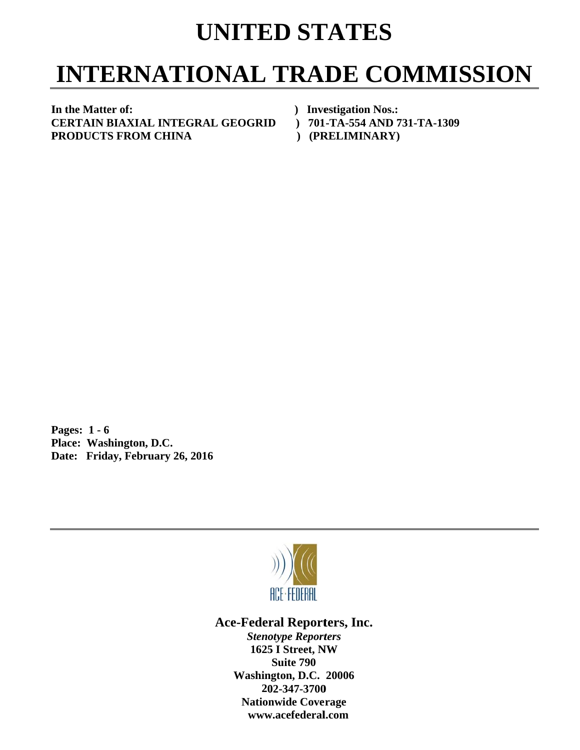## **UNITED STATES**

## **INTERNATIONAL TRADE COMMISSION**

In the Matter of: **C CERTAIN B BIAXIAL IN NTEGRAL L GEOGRID P PRODUCTS S FROM C HINA** 

*()* Investigation Nos.: **D** ) 701-TA-554 AND 731-TA-1309

**(PRELIMINARY)** 

**P Pages: 1 - 6** Pages: 1 - 6<br>Place: Washington, D.C. Date: Friday, February 26, 2016



Ace-Federal Reporters, Inc.

**Stenotype Reporters 1625 I Street, NW Washin gton, D.C. 20006 20 02-347-3700** 202-347-3700<br>Nationwide Coverage **www w.acefederal l.com Suite 790**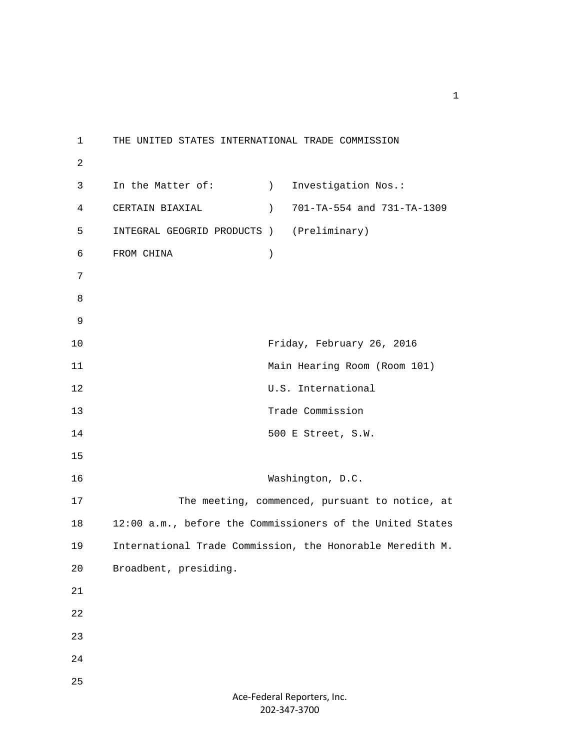1 THE UNITED STATES INTERNATIONAL TRADE COMMISSION 2 3 In the Matter of: (a) Investigation Nos.: 4 CERTAIN BIAXIAL ) 701-TA-554 and 731-TA-1309 5 INTEGRAL GEOGRID PRODUCTS ) (Preliminary) 6 FROM CHINA ) 7 8 9 10 Friday, February 26, 2016 11 Main Hearing Room (Room 101) 12 U.S. International 13 Trade Commission 14 500 E Street, S.W. 15 16 Washington, D.C. 17 The meeting, commenced, pursuant to notice, at 18 12:00 a.m., before the Commissioners of the United States 19 International Trade Commission, the Honorable Meredith M. 20 Broadbent, presiding. 21 22 23 24 25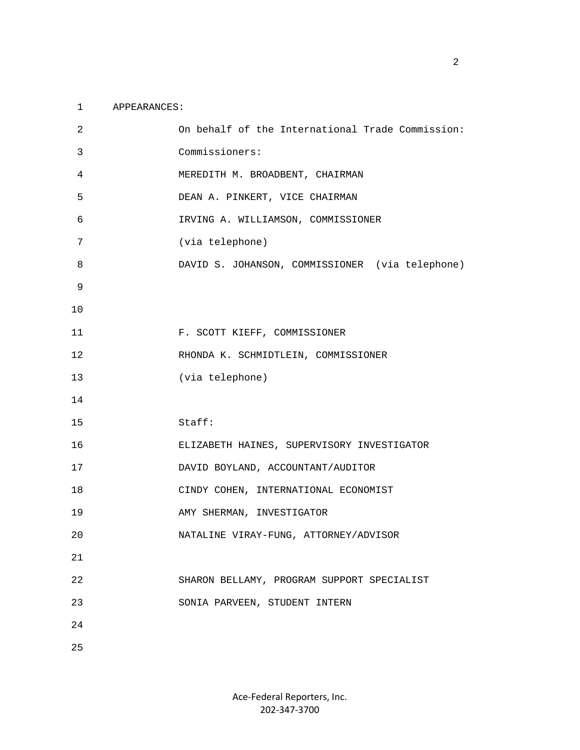## 1 APPEARANCES:

| 2  | On behalf of the International Trade Commission: |
|----|--------------------------------------------------|
| 3  | Commissioners:                                   |
| 4  | MEREDITH M. BROADBENT, CHAIRMAN                  |
| 5  | DEAN A. PINKERT, VICE CHAIRMAN                   |
| 6  | IRVING A. WILLIAMSON, COMMISSIONER               |
| 7  | (via telephone)                                  |
| 8  | DAVID S. JOHANSON, COMMISSIONER (via telephone)  |
| 9  |                                                  |
| 10 |                                                  |
| 11 | F. SCOTT KIEFF, COMMISSIONER                     |
| 12 | RHONDA K. SCHMIDTLEIN, COMMISSIONER              |
| 13 | (via telephone)                                  |
| 14 |                                                  |
| 15 | Staff:                                           |
| 16 | ELIZABETH HAINES, SUPERVISORY INVESTIGATOR       |
| 17 | DAVID BOYLAND, ACCOUNTANT/AUDITOR                |
| 18 | CINDY COHEN, INTERNATIONAL ECONOMIST             |
| 19 | AMY SHERMAN, INVESTIGATOR                        |
| 20 | NATALINE VIRAY-FUNG, ATTORNEY/ADVISOR            |
| 21 |                                                  |
| 22 | SHARON BELLAMY, PROGRAM SUPPORT SPECIALIST       |
| 23 | SONIA PARVEEN, STUDENT INTERN                    |
| 24 |                                                  |
| 25 |                                                  |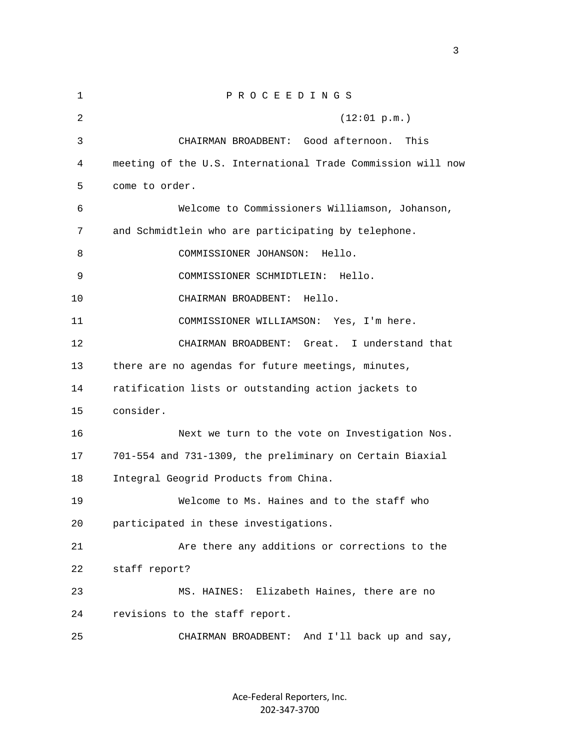| 1  | PROCEEDINGS                                                 |
|----|-------------------------------------------------------------|
| 2  | (12:01 p.m.)                                                |
| 3  | CHAIRMAN BROADBENT: Good afternoon.<br>This                 |
| 4  | meeting of the U.S. International Trade Commission will now |
| 5  | come to order.                                              |
| 6  | Welcome to Commissioners Williamson, Johanson,              |
| 7  | and Schmidtlein who are participating by telephone.         |
| 8  | COMMISSIONER JOHANSON:<br>Hello.                            |
| 9  | COMMISSIONER SCHMIDTLEIN: Hello.                            |
| 10 | CHAIRMAN BROADBENT:<br>Hello.                               |
| 11 | COMMISSIONER WILLIAMSON: Yes, I'm here.                     |
| 12 | CHAIRMAN BROADBENT: Great. I understand that                |
| 13 | there are no agendas for future meetings, minutes,          |
| 14 | ratification lists or outstanding action jackets to         |
| 15 | consider.                                                   |
| 16 | Next we turn to the vote on Investigation Nos.              |
| 17 | 701-554 and 731-1309, the preliminary on Certain Biaxial    |
| 18 | Integral Geogrid Products from China.                       |
| 19 | Welcome to Ms. Haines and to the staff who                  |
| 20 | participated in these investigations.                       |
| 21 | Are there any additions or corrections to the               |
| 22 | staff report?                                               |
| 23 | MS. HAINES: Elizabeth Haines, there are no                  |
| 24 | revisions to the staff report.                              |
| 25 | And I'll back up and say,<br>CHAIRMAN BROADBENT:            |

Ace‐Federal Reporters, Inc. 202‐347‐3700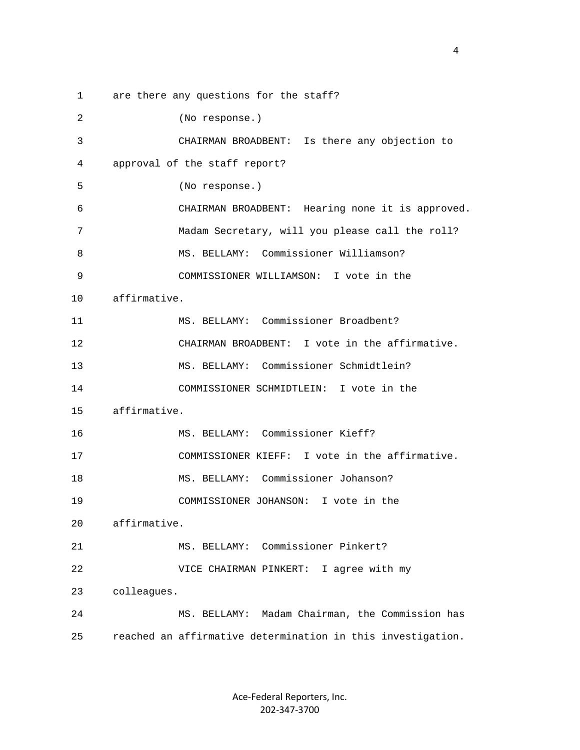1 are there any questions for the staff? 2 (No response.) 3 CHAIRMAN BROADBENT: Is there any objection to 4 approval of the staff report? 5 (No response.) 6 CHAIRMAN BROADBENT: Hearing none it is approved. 7 Madam Secretary, will you please call the roll? 8 MS. BELLAMY: Commissioner Williamson? 9 COMMISSIONER WILLIAMSON: I vote in the 10 affirmative. 11 MS. BELLAMY: Commissioner Broadbent? 12 CHAIRMAN BROADBENT: I vote in the affirmative. 13 MS. BELLAMY: Commissioner Schmidtlein? 14 COMMISSIONER SCHMIDTLEIN: I vote in the 15 affirmative. 16 MS. BELLAMY: Commissioner Kieff? 17 COMMISSIONER KIEFF: I vote in the affirmative. 18 MS. BELLAMY: Commissioner Johanson? 19 COMMISSIONER JOHANSON: I vote in the 20 affirmative. 21 MS. BELLAMY: Commissioner Pinkert? 22 VICE CHAIRMAN PINKERT: I agree with my 23 colleagues. 24 MS. BELLAMY: Madam Chairman, the Commission has 25 reached an affirmative determination in this investigation.

> Ace‐Federal Reporters, Inc. 202‐347‐3700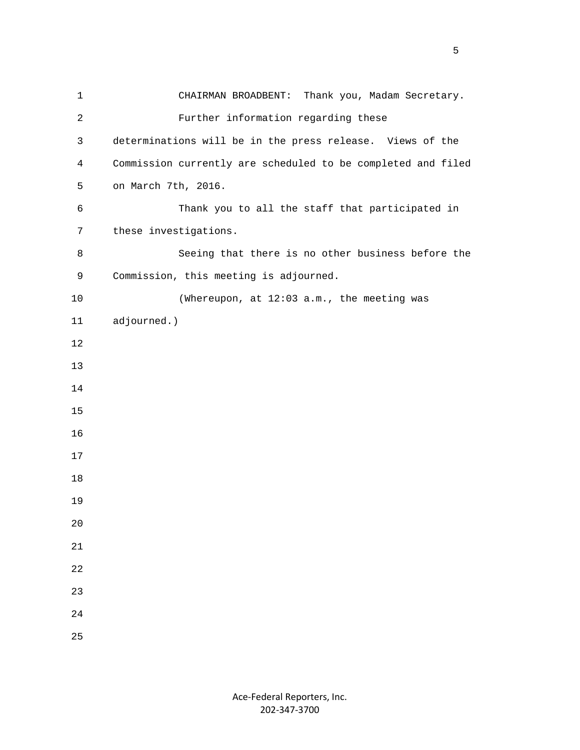| $\mathbf 1$    | CHAIRMAN BROADBENT: Thank you, Madam Secretary.              |
|----------------|--------------------------------------------------------------|
| $\overline{2}$ | Further information regarding these                          |
| 3              | determinations will be in the press release. Views of the    |
| 4              | Commission currently are scheduled to be completed and filed |
| 5              | on March 7th, 2016.                                          |
| 6              | Thank you to all the staff that participated in              |
| 7              | these investigations.                                        |
| 8              | Seeing that there is no other business before the            |
| 9              | Commission, this meeting is adjourned.                       |
| 10             | (Whereupon, at 12:03 a.m., the meeting was                   |
| 11             | adjourned.)                                                  |
| 12             |                                                              |
| 13             |                                                              |
| 14             |                                                              |
| 15             |                                                              |
| 16             |                                                              |
| 17             |                                                              |
| 18             |                                                              |
| 19             |                                                              |
| 20             |                                                              |
| 21             |                                                              |
| 22             |                                                              |
| 23             |                                                              |
| 24             |                                                              |
| 25             |                                                              |